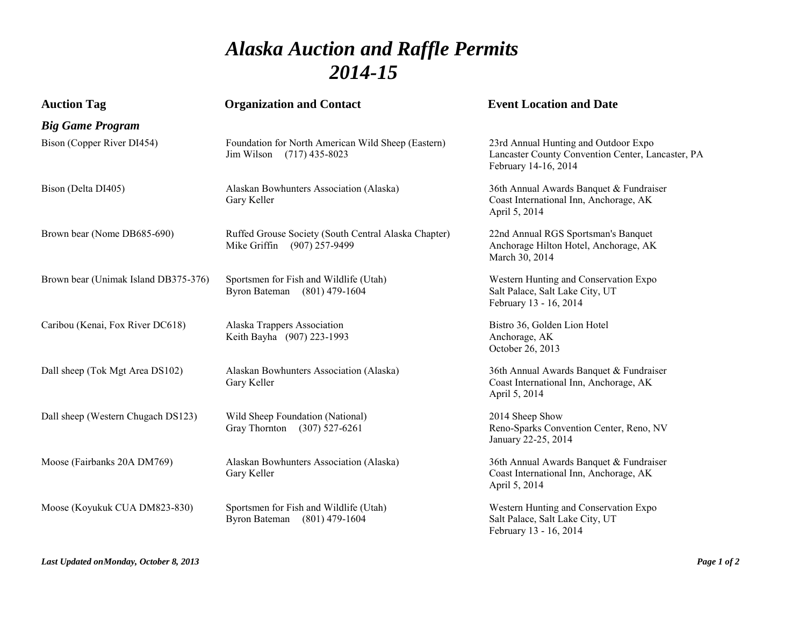## *Alaska Auction and Raffle Permits 2014-15*

| <b>Auction Tag</b>                   | <b>Organization and Contact</b>                                                     | <b>Event Location and Date</b>                                                                                    |
|--------------------------------------|-------------------------------------------------------------------------------------|-------------------------------------------------------------------------------------------------------------------|
| <b>Big Game Program</b>              |                                                                                     |                                                                                                                   |
| Bison (Copper River DI454)           | Foundation for North American Wild Sheep (Eastern)<br>Jim Wilson (717) 435-8023     | 23rd Annual Hunting and Outdoor Expo<br>Lancaster County Convention Center, Lancaster, PA<br>February 14-16, 2014 |
| Bison (Delta DI405)                  | Alaskan Bowhunters Association (Alaska)<br>Gary Keller                              | 36th Annual Awards Banquet & Fundraiser<br>Coast International Inn, Anchorage, AK<br>April 5, 2014                |
| Brown bear (Nome DB685-690)          | Ruffed Grouse Society (South Central Alaska Chapter)<br>Mike Griffin (907) 257-9499 | 22nd Annual RGS Sportsman's Banquet<br>Anchorage Hilton Hotel, Anchorage, AK<br>March 30, 2014                    |
| Brown bear (Unimak Island DB375-376) | Sportsmen for Fish and Wildlife (Utah)<br>Byron Bateman (801) 479-1604              | Western Hunting and Conservation Expo<br>Salt Palace, Salt Lake City, UT<br>February 13 - 16, 2014                |
| Caribou (Kenai, Fox River DC618)     | Alaska Trappers Association<br>Keith Bayha (907) 223-1993                           | Bistro 36, Golden Lion Hotel<br>Anchorage, AK<br>October 26, 2013                                                 |
| Dall sheep (Tok Mgt Area DS102)      | Alaskan Bowhunters Association (Alaska)<br>Gary Keller                              | 36th Annual Awards Banquet & Fundraiser<br>Coast International Inn, Anchorage, AK<br>April 5, 2014                |
| Dall sheep (Western Chugach DS123)   | Wild Sheep Foundation (National)<br>Gray Thornton<br>$(307)$ 527-6261               | 2014 Sheep Show<br>Reno-Sparks Convention Center, Reno, NV<br>January 22-25, 2014                                 |
| Moose (Fairbanks 20A DM769)          | Alaskan Bowhunters Association (Alaska)<br>Gary Keller                              | 36th Annual Awards Banquet & Fundraiser<br>Coast International Inn, Anchorage, AK<br>April 5, 2014                |
| Moose (Koyukuk CUA DM823-830)        | Sportsmen for Fish and Wildlife (Utah)<br><b>Byron Bateman</b><br>$(801)$ 479-1604  | Western Hunting and Conservation Expo<br>Salt Palace, Salt Lake City, UT<br>February 13 - 16, 2014                |